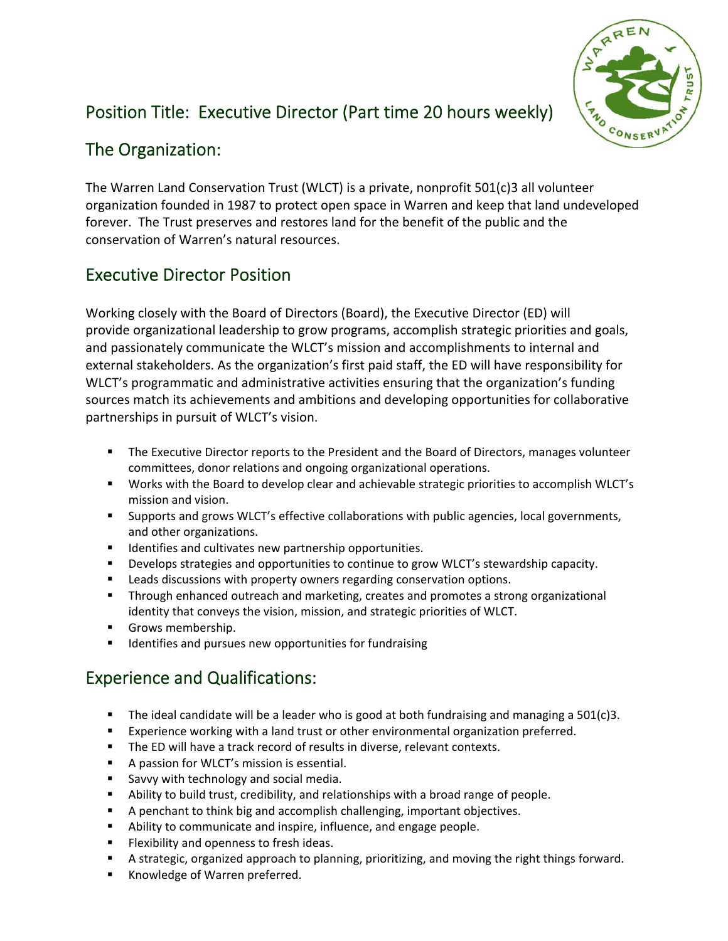

# Position Title: Executive Director (Part time 20 hours weekly)

## The Organization:

The Warren Land Conservation Trust (WLCT) is a private, nonprofit 501(c)3 all volunteer organization founded in 1987 to protect open space in Warren and keep that land undeveloped forever. The Trust preserves and restores land for the benefit of the public and the conservation of Warren's natural resources.

# Executive Director Position

Working closely with the Board of Directors (Board), the Executive Director (ED) will provide organizational leadership to grow programs, accomplish strategic priorities and goals, and passionately communicate the WLCT's mission and accomplishments to internal and external stakeholders. As the organization's first paid staff, the ED will have responsibility for WLCT's programmatic and administrative activities ensuring that the organization's funding sources match its achievements and ambitions and developing opportunities for collaborative partnerships in pursuit of WLCT's vision.

- **The Executive Director reports to the President and the Board of Directors, manages volunteer** committees, donor relations and ongoing organizational operations.
- Works with the Board to develop clear and achievable strategic priorities to accomplish WLCT's mission and vision.
- Supports and grows WLCT's effective collaborations with public agencies, local governments, and other organizations.
- **IDENTIFIEM** 1 dentifies and cultivates new partnership opportunities.
- Develops strategies and opportunities to continue to grow WLCT's stewardship capacity.
- Leads discussions with property owners regarding conservation options.
- Through enhanced outreach and marketing, creates and promotes a strong organizational identity that conveys the vision, mission, and strategic priorities of WLCT.
- Grows membership.
- **IDENTIFIELD 19 IDENTIFIELS** 1 Identifies and pursues new opportunities for fundraising

# Experience and Qualifications:

- The ideal candidate will be a leader who is good at both fundraising and managing a  $501(c)3$ .
- Experience working with a land trust or other environmental organization preferred.
- The ED will have a track record of results in diverse, relevant contexts.
- **A passion for WLCT's mission is essential.**
- Savvy with technology and social media.
- Ability to build trust, credibility, and relationships with a broad range of people.
- A penchant to think big and accomplish challenging, important objectives.
- Ability to communicate and inspire, influence, and engage people.
- **Filexibility and openness to fresh ideas.**
- A strategic, organized approach to planning, prioritizing, and moving the right things forward.
- Knowledge of Warren preferred.